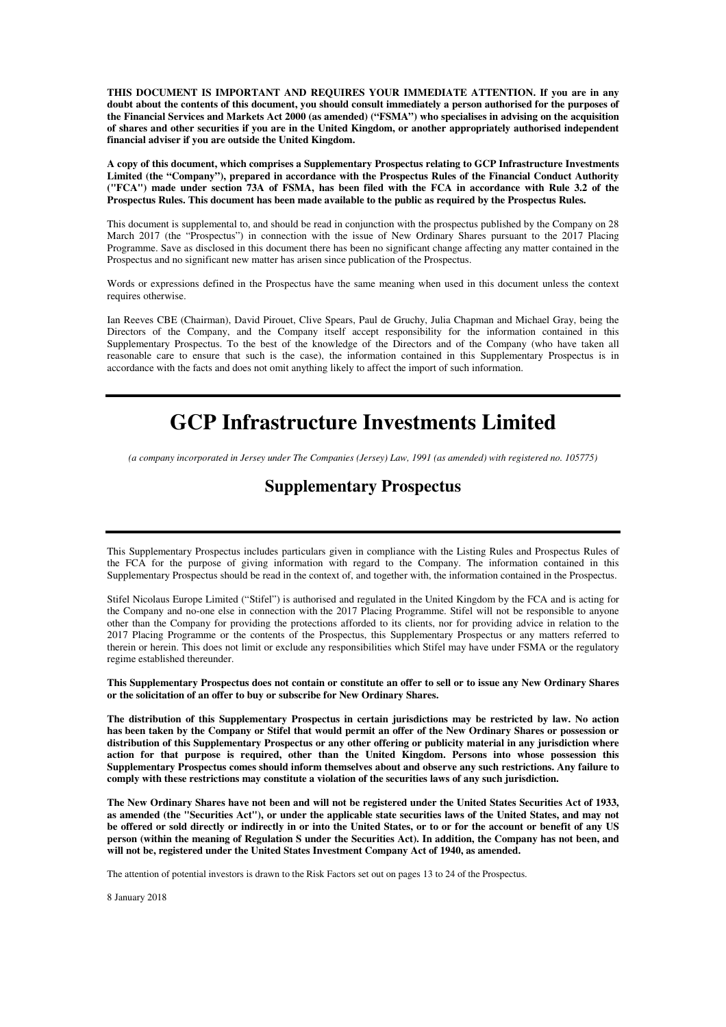**THIS DOCUMENT IS IMPORTANT AND REQUIRES YOUR IMMEDIATE ATTENTION. If you are in any doubt about the contents of this document, you should consult immediately a person authorised for the purposes of the Financial Services and Markets Act 2000 (as amended) ("FSMA") who specialises in advising on the acquisition of shares and other securities if you are in the United Kingdom, or another appropriately authorised independent financial adviser if you are outside the United Kingdom.** 

**A copy of this document, which comprises a Supplementary Prospectus relating to GCP Infrastructure Investments Limited (the "Company"), prepared in accordance with the Prospectus Rules of the Financial Conduct Authority ("FCA") made under section 73A of FSMA, has been filed with the FCA in accordance with Rule 3.2 of the Prospectus Rules. This document has been made available to the public as required by the Prospectus Rules.** 

This document is supplemental to, and should be read in conjunction with the prospectus published by the Company on 28 March 2017 (the "Prospectus") in connection with the issue of New Ordinary Shares pursuant to the 2017 Placing Programme. Save as disclosed in this document there has been no significant change affecting any matter contained in the Prospectus and no significant new matter has arisen since publication of the Prospectus.

Words or expressions defined in the Prospectus have the same meaning when used in this document unless the context requires otherwise.

Ian Reeves CBE (Chairman), David Pirouet, Clive Spears, Paul de Gruchy, Julia Chapman and Michael Gray, being the Directors of the Company, and the Company itself accept responsibility for the information contained in this Supplementary Prospectus. To the best of the knowledge of the Directors and of the Company (who have taken all reasonable care to ensure that such is the case), the information contained in this Supplementary Prospectus is in accordance with the facts and does not omit anything likely to affect the import of such information.

# **GCP Infrastructure Investments Limited**

*(a company incorporated in Jersey under The Companies (Jersey) Law, 1991 (as amended) with registered no. 105775)* 

## **Supplementary Prospectus**

This Supplementary Prospectus includes particulars given in compliance with the Listing Rules and Prospectus Rules of the FCA for the purpose of giving information with regard to the Company. The information contained in this Supplementary Prospectus should be read in the context of, and together with, the information contained in the Prospectus.

Stifel Nicolaus Europe Limited ("Stifel") is authorised and regulated in the United Kingdom by the FCA and is acting for the Company and no-one else in connection with the 2017 Placing Programme. Stifel will not be responsible to anyone other than the Company for providing the protections afforded to its clients, nor for providing advice in relation to the 2017 Placing Programme or the contents of the Prospectus, this Supplementary Prospectus or any matters referred to therein or herein. This does not limit or exclude any responsibilities which Stifel may have under FSMA or the regulatory regime established thereunder.

**This Supplementary Prospectus does not contain or constitute an offer to sell or to issue any New Ordinary Shares or the solicitation of an offer to buy or subscribe for New Ordinary Shares.** 

**The distribution of this Supplementary Prospectus in certain jurisdictions may be restricted by law. No action has been taken by the Company or Stifel that would permit an offer of the New Ordinary Shares or possession or distribution of this Supplementary Prospectus or any other offering or publicity material in any jurisdiction where action for that purpose is required, other than the United Kingdom. Persons into whose possession this Supplementary Prospectus comes should inform themselves about and observe any such restrictions. Any failure to comply with these restrictions may constitute a violation of the securities laws of any such jurisdiction.** 

**The New Ordinary Shares have not been and will not be registered under the United States Securities Act of 1933, as amended (the "Securities Act"), or under the applicable state securities laws of the United States, and may not be offered or sold directly or indirectly in or into the United States, or to or for the account or benefit of any US person (within the meaning of Regulation S under the Securities Act). In addition, the Company has not been, and will not be, registered under the United States Investment Company Act of 1940, as amended.** 

The attention of potential investors is drawn to the Risk Factors set out on pages 13 to 24 of the Prospectus.

8 January 2018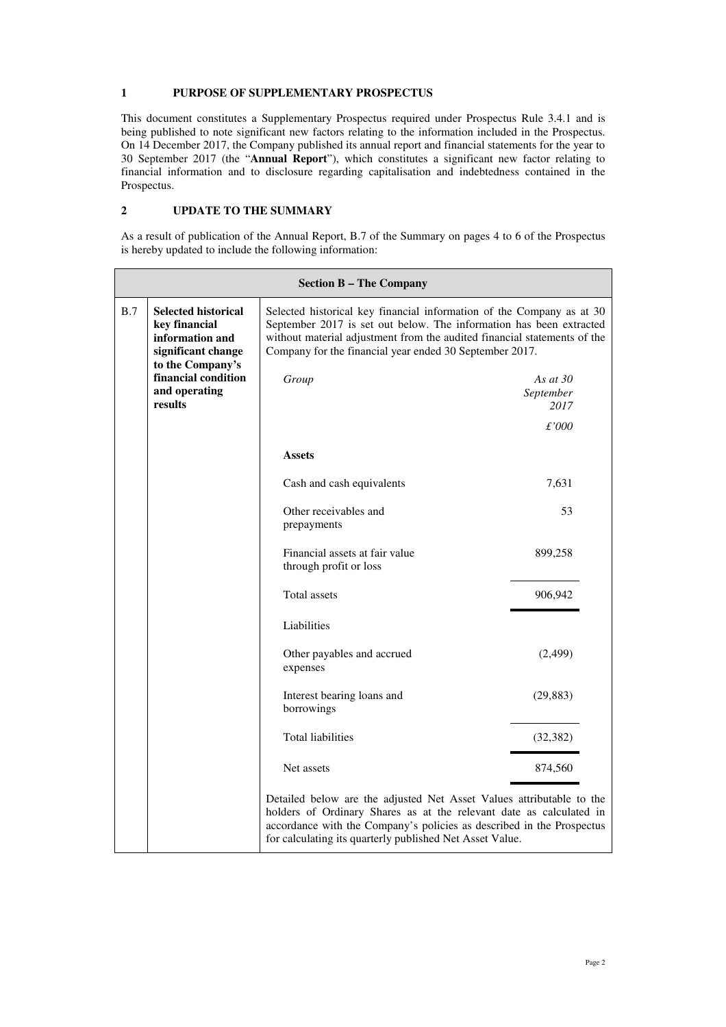#### **1 PURPOSE OF SUPPLEMENTARY PROSPECTUS**

This document constitutes a Supplementary Prospectus required under Prospectus Rule 3.4.1 and is being published to note significant new factors relating to the information included in the Prospectus. On 14 December 2017, the Company published its annual report and financial statements for the year to 30 September 2017 (the "**Annual Report**"), which constitutes a significant new factor relating to financial information and to disclosure regarding capitalisation and indebtedness contained in the Prospectus.

### **2 UPDATE TO THE SUMMARY**

As a result of publication of the Annual Report, B.7 of the Summary on pages 4 to 6 of the Prospectus is hereby updated to include the following information:

| <b>Section B - The Company</b> |                                                                                                          |                                                                                                                                                                                                                                                                                     |                                 |  |
|--------------------------------|----------------------------------------------------------------------------------------------------------|-------------------------------------------------------------------------------------------------------------------------------------------------------------------------------------------------------------------------------------------------------------------------------------|---------------------------------|--|
| B.7                            | <b>Selected historical</b><br>key financial<br>information and<br>significant change<br>to the Company's | Selected historical key financial information of the Company as at 30<br>September 2017 is set out below. The information has been extracted<br>without material adjustment from the audited financial statements of the<br>Company for the financial year ended 30 September 2017. |                                 |  |
|                                | financial condition<br>and operating<br>results                                                          | Group                                                                                                                                                                                                                                                                               | As at $30$<br>September<br>2017 |  |
|                                |                                                                                                          |                                                                                                                                                                                                                                                                                     | £'000                           |  |
|                                |                                                                                                          | <b>Assets</b>                                                                                                                                                                                                                                                                       |                                 |  |
|                                |                                                                                                          | Cash and cash equivalents                                                                                                                                                                                                                                                           | 7,631                           |  |
|                                |                                                                                                          | Other receivables and<br>prepayments                                                                                                                                                                                                                                                | 53                              |  |
|                                |                                                                                                          | Financial assets at fair value<br>through profit or loss                                                                                                                                                                                                                            | 899,258                         |  |
|                                |                                                                                                          | Total assets                                                                                                                                                                                                                                                                        | 906,942                         |  |
|                                |                                                                                                          | Liabilities                                                                                                                                                                                                                                                                         |                                 |  |
|                                |                                                                                                          | Other payables and accrued<br>expenses                                                                                                                                                                                                                                              | (2,499)                         |  |
|                                |                                                                                                          | Interest bearing loans and<br>borrowings                                                                                                                                                                                                                                            | (29, 883)                       |  |
|                                |                                                                                                          | <b>Total liabilities</b>                                                                                                                                                                                                                                                            | (32, 382)                       |  |
|                                |                                                                                                          | Net assets                                                                                                                                                                                                                                                                          | 874,560                         |  |
|                                |                                                                                                          | Detailed below are the adjusted Net Asset Values attributable to the<br>holders of Ordinary Shares as at the relevant date as calculated in<br>accordance with the Company's policies as described in the Prospectus<br>for calculating its quarterly published Net Asset Value.    |                                 |  |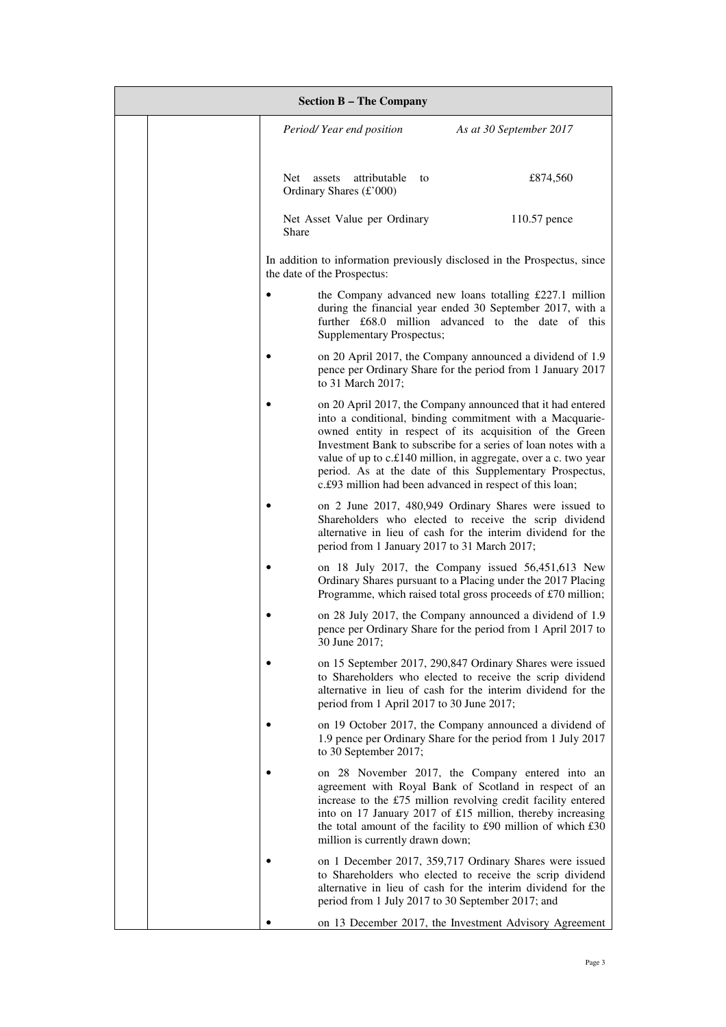| <b>Section B - The Company</b> |  |           |                                                   |    |                                                                                                                                                                                                                                                                                                                                                                                                                                                  |
|--------------------------------|--|-----------|---------------------------------------------------|----|--------------------------------------------------------------------------------------------------------------------------------------------------------------------------------------------------------------------------------------------------------------------------------------------------------------------------------------------------------------------------------------------------------------------------------------------------|
|                                |  |           | Period/Year end position                          |    | As at 30 September 2017                                                                                                                                                                                                                                                                                                                                                                                                                          |
|                                |  | Net       | attributable<br>assets<br>Ordinary Shares (£'000) | to | £874,560                                                                                                                                                                                                                                                                                                                                                                                                                                         |
|                                |  | Share     | Net Asset Value per Ordinary                      |    | 110.57 pence                                                                                                                                                                                                                                                                                                                                                                                                                                     |
|                                |  |           | the date of the Prospectus:                       |    | In addition to information previously disclosed in the Prospectus, since                                                                                                                                                                                                                                                                                                                                                                         |
|                                |  | $\bullet$ | <b>Supplementary Prospectus;</b>                  |    | the Company advanced new loans totalling £227.1 million<br>during the financial year ended 30 September 2017, with a<br>further £68.0 million advanced to the date of this                                                                                                                                                                                                                                                                       |
|                                |  |           | to 31 March 2017;                                 |    | on 20 April 2017, the Company announced a dividend of 1.9<br>pence per Ordinary Share for the period from 1 January 2017                                                                                                                                                                                                                                                                                                                         |
|                                |  | $\bullet$ |                                                   |    | on 20 April 2017, the Company announced that it had entered<br>into a conditional, binding commitment with a Macquarie-<br>owned entity in respect of its acquisition of the Green<br>Investment Bank to subscribe for a series of loan notes with a<br>value of up to c.£140 million, in aggregate, over a c. two year<br>period. As at the date of this Supplementary Prospectus,<br>c.f.93 million had been advanced in respect of this loan; |
|                                |  |           | period from 1 January 2017 to 31 March 2017;      |    | on 2 June 2017, 480,949 Ordinary Shares were issued to<br>Shareholders who elected to receive the scrip dividend<br>alternative in lieu of cash for the interim dividend for the                                                                                                                                                                                                                                                                 |
|                                |  |           |                                                   |    | on 18 July 2017, the Company issued 56,451,613 New<br>Ordinary Shares pursuant to a Placing under the 2017 Placing<br>Programme, which raised total gross proceeds of £70 million;                                                                                                                                                                                                                                                               |
|                                |  |           | 30 June 2017:                                     |    | on 28 July 2017, the Company announced a dividend of 1.9<br>pence per Ordinary Share for the period from 1 April 2017 to                                                                                                                                                                                                                                                                                                                         |
|                                |  |           | period from 1 April 2017 to 30 June 2017;         |    | on 15 September 2017, 290,847 Ordinary Shares were issued<br>to Shareholders who elected to receive the scrip dividend<br>alternative in lieu of cash for the interim dividend for the                                                                                                                                                                                                                                                           |
|                                |  |           | to 30 September 2017;                             |    | on 19 October 2017, the Company announced a dividend of<br>1.9 pence per Ordinary Share for the period from 1 July 2017                                                                                                                                                                                                                                                                                                                          |
|                                |  |           | million is currently drawn down;                  |    | on 28 November 2017, the Company entered into an<br>agreement with Royal Bank of Scotland in respect of an<br>increase to the £75 million revolving credit facility entered<br>into on 17 January 2017 of £15 million, thereby increasing<br>the total amount of the facility to £90 million of which £30                                                                                                                                        |
|                                |  |           |                                                   |    | on 1 December 2017, 359,717 Ordinary Shares were issued<br>to Shareholders who elected to receive the scrip dividend<br>alternative in lieu of cash for the interim dividend for the<br>period from 1 July 2017 to 30 September 2017; and                                                                                                                                                                                                        |
|                                |  |           |                                                   |    | on 13 December 2017, the Investment Advisory Agreement                                                                                                                                                                                                                                                                                                                                                                                           |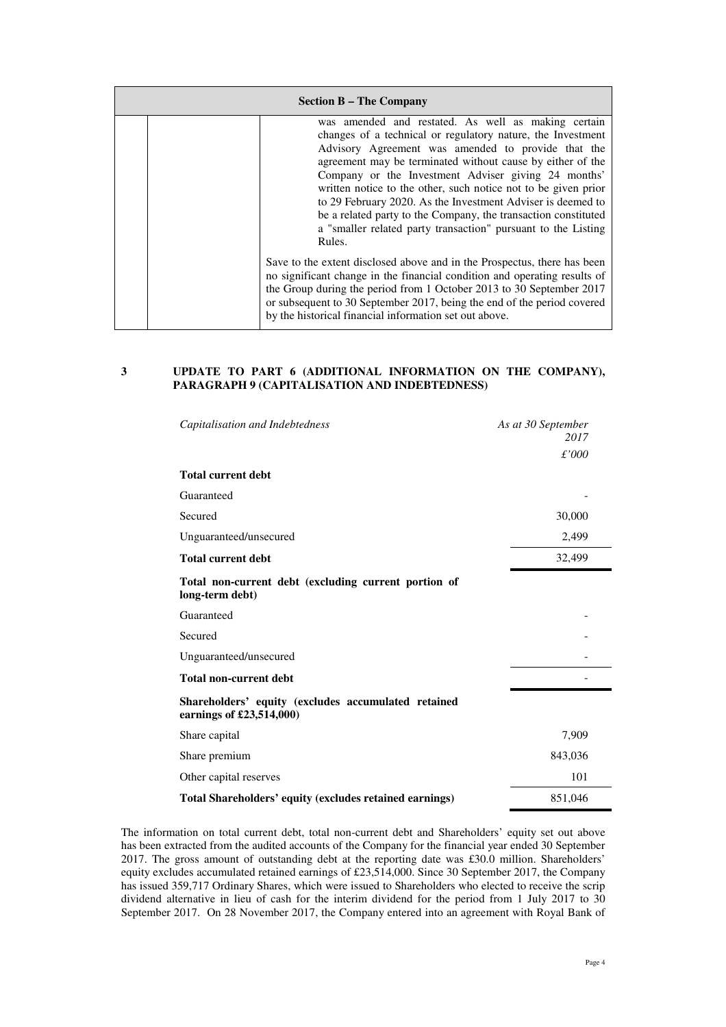| <b>Section B – The Company</b> |  |                                                                                                                                                                                                                                                                                                                                                                                                                                                                                                                                                                             |
|--------------------------------|--|-----------------------------------------------------------------------------------------------------------------------------------------------------------------------------------------------------------------------------------------------------------------------------------------------------------------------------------------------------------------------------------------------------------------------------------------------------------------------------------------------------------------------------------------------------------------------------|
|                                |  | was amended and restated. As well as making certain<br>changes of a technical or regulatory nature, the Investment<br>Advisory Agreement was amended to provide that the<br>agreement may be terminated without cause by either of the<br>Company or the Investment Adviser giving 24 months'<br>written notice to the other, such notice not to be given prior<br>to 29 February 2020. As the Investment Adviser is deemed to<br>be a related party to the Company, the transaction constituted<br>a "smaller related party transaction" pursuant to the Listing<br>Rules. |
|                                |  | Save to the extent disclosed above and in the Prospectus, there has been<br>no significant change in the financial condition and operating results of<br>the Group during the period from 1 October 2013 to 30 September 2017<br>or subsequent to 30 September 2017, being the end of the period covered<br>by the historical financial information set out above.                                                                                                                                                                                                          |

#### **3 UPDATE TO PART 6 (ADDITIONAL INFORMATION ON THE COMPANY), PARAGRAPH 9 (CAPITALISATION AND INDEBTEDNESS)**

| Capitalisation and Indebtedness                                                 | As at 30 September<br>2017 |
|---------------------------------------------------------------------------------|----------------------------|
|                                                                                 | £'000                      |
| <b>Total current debt</b>                                                       |                            |
| Guaranteed                                                                      |                            |
| Secured                                                                         | 30,000                     |
| Unguaranteed/unsecured                                                          | 2,499                      |
| <b>Total current debt</b>                                                       | 32,499                     |
| Total non-current debt (excluding current portion of<br>long-term debt)         |                            |
| Guaranteed                                                                      |                            |
| Secured                                                                         |                            |
| Unguaranteed/unsecured                                                          |                            |
| <b>Total non-current debt</b>                                                   |                            |
| Shareholders' equity (excludes accumulated retained<br>earnings of £23,514,000) |                            |
| Share capital                                                                   | 7,909                      |
| Share premium                                                                   | 843,036                    |
| Other capital reserves                                                          | 101                        |
| Total Shareholders' equity (excludes retained earnings)                         | 851,046                    |

The information on total current debt, total non-current debt and Shareholders' equity set out above has been extracted from the audited accounts of the Company for the financial year ended 30 September 2017. The gross amount of outstanding debt at the reporting date was £30.0 million. Shareholders' equity excludes accumulated retained earnings of £23,514,000. Since 30 September 2017, the Company has issued 359,717 Ordinary Shares, which were issued to Shareholders who elected to receive the scrip dividend alternative in lieu of cash for the interim dividend for the period from 1 July 2017 to 30 September 2017. On 28 November 2017, the Company entered into an agreement with Royal Bank of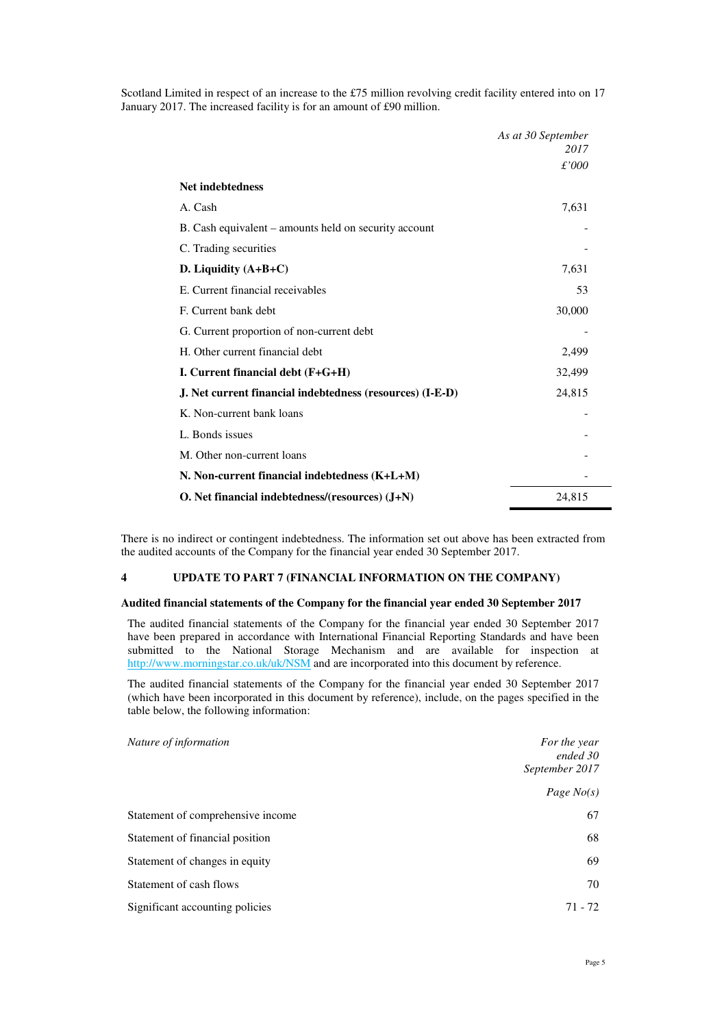Scotland Limited in respect of an increase to the £75 million revolving credit facility entered into on 17 January 2017. The increased facility is for an amount of £90 million.

|                                                           | As at 30 September |
|-----------------------------------------------------------|--------------------|
|                                                           | 2017               |
|                                                           | £'000              |
| <b>Net indebtedness</b>                                   |                    |
| A. Cash                                                   | 7,631              |
| B. Cash equivalent – amounts held on security account     |                    |
| C. Trading securities                                     |                    |
| D. Liquidity $(A+B+C)$                                    | 7,631              |
| E. Current financial receivables                          | 53                 |
| F. Current bank debt                                      | 30,000             |
| G. Current proportion of non-current debt                 |                    |
| H. Other current financial debt                           | 2,499              |
| I. Current financial debt $(F+G+H)$                       | 32,499             |
| J. Net current financial indebtedness (resources) (I-E-D) | 24,815             |
| K. Non-current bank loans                                 |                    |
| L. Bonds issues                                           |                    |
| M. Other non-current loans                                |                    |
| N. Non-current financial indebtedness (K+L+M)             |                    |
| O. Net financial indebtedness/(resources) (J+N)           | 24,815             |

There is no indirect or contingent indebtedness. The information set out above has been extracted from the audited accounts of the Company for the financial year ended 30 September 2017.

#### **4 UPDATE TO PART 7 (FINANCIAL INFORMATION ON THE COMPANY)**

#### **Audited financial statements of the Company for the financial year ended 30 September 2017**

The audited financial statements of the Company for the financial year ended 30 September 2017 have been prepared in accordance with International Financial Reporting Standards and have been submitted to the National Storage Mechanism and are available for inspection at http://www.morningstar.co.uk/uk/NSM and are incorporated into this document by reference.

The audited financial statements of the Company for the financial year ended 30 September 2017 (which have been incorporated in this document by reference), include, on the pages specified in the table below, the following information:

| Nature of information             | For the year               |
|-----------------------------------|----------------------------|
|                                   | ended 30<br>September 2017 |
|                                   |                            |
|                                   | Page $No(s)$               |
| Statement of comprehensive income | 67                         |
| Statement of financial position   | 68                         |
| Statement of changes in equity    | 69                         |
| Statement of cash flows           | 70                         |
| Significant accounting policies   | $71 - 72$                  |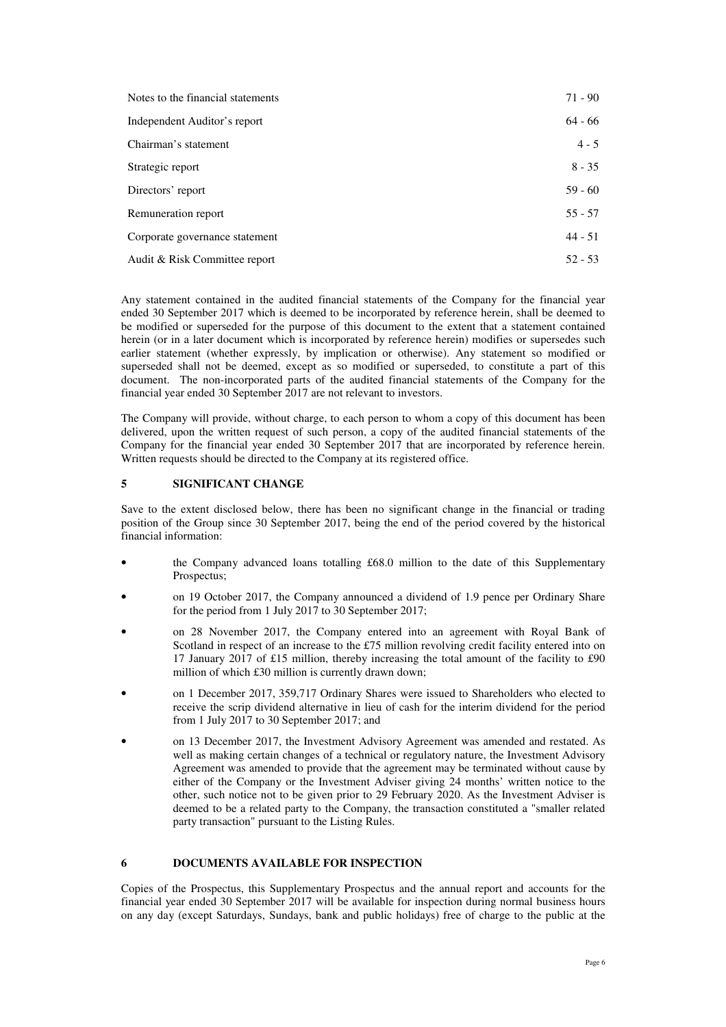| Notes to the financial statements | $71 - 90$ |
|-----------------------------------|-----------|
| Independent Auditor's report      | 64 - 66   |
| Chairman's statement              | $4 - 5$   |
| Strategic report                  | $8 - 35$  |
| Directors' report                 | $59 - 60$ |
| Remuneration report               | $55 - 57$ |
| Corporate governance statement    | $44 - 51$ |
| Audit & Risk Committee report     | $52 - 53$ |

Any statement contained in the audited financial statements of the Company for the financial year ended 30 September 2017 which is deemed to be incorporated by reference herein, shall be deemed to be modified or superseded for the purpose of this document to the extent that a statement contained herein (or in a later document which is incorporated by reference herein) modifies or supersedes such earlier statement (whether expressly, by implication or otherwise). Any statement so modified or superseded shall not be deemed, except as so modified or superseded, to constitute a part of this document. The non-incorporated parts of the audited financial statements of the Company for the financial year ended 30 September 2017 are not relevant to investors.

The Company will provide, without charge, to each person to whom a copy of this document has been delivered, upon the written request of such person, a copy of the audited financial statements of the Company for the financial year ended 30 September 2017 that are incorporated by reference herein. Written requests should be directed to the Company at its registered office.

#### **5 SIGNIFICANT CHANGE**

Save to the extent disclosed below, there has been no significant change in the financial or trading position of the Group since 30 September 2017, being the end of the period covered by the historical financial information:

- the Company advanced loans totalling £68.0 million to the date of this Supplementary Prospectus;
- on 19 October 2017, the Company announced a dividend of 1.9 pence per Ordinary Share for the period from 1 July 2017 to 30 September 2017;
- on 28 November 2017, the Company entered into an agreement with Royal Bank of Scotland in respect of an increase to the £75 million revolving credit facility entered into on 17 January 2017 of £15 million, thereby increasing the total amount of the facility to £90 million of which £30 million is currently drawn down;
- on 1 December 2017, 359,717 Ordinary Shares were issued to Shareholders who elected to receive the scrip dividend alternative in lieu of cash for the interim dividend for the period from 1 July 2017 to 30 September 2017; and
- on 13 December 2017, the Investment Advisory Agreement was amended and restated. As well as making certain changes of a technical or regulatory nature, the Investment Advisory Agreement was amended to provide that the agreement may be terminated without cause by either of the Company or the Investment Adviser giving 24 months' written notice to the other, such notice not to be given prior to 29 February 2020. As the Investment Adviser is deemed to be a related party to the Company, the transaction constituted a "smaller related party transaction" pursuant to the Listing Rules.

#### **6 DOCUMENTS AVAILABLE FOR INSPECTION**

Copies of the Prospectus, this Supplementary Prospectus and the annual report and accounts for the financial year ended 30 September 2017 will be available for inspection during normal business hours on any day (except Saturdays, Sundays, bank and public holidays) free of charge to the public at the